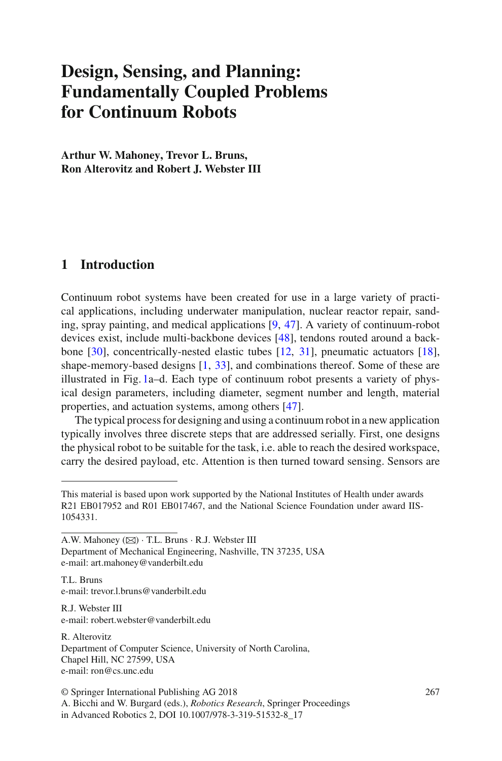# **Design, Sensing, and Planning: Fundamentally Coupled Problems for Continuum Robots**

**Arthur W. Mahoney, Trevor L. Bruns, Ron Alterovitz and Robert J. Webster III**

### **1 Introduction**

Continuum robot systems have been created for use in a large variety of practical applications, including underwater manipulation, nuclear reactor repair, sanding, spray painting, and medical applications [9, 47]. A variety of continuum-robot devices exist, include multi-backbone devices [48], tendons routed around a backbone [30], concentrically-nested elastic tubes [12, 31], pneumatic actuators [18], shape-memory-based designs [1, 33], and combinations thereof. Some of these are illustrated in Fig. 1a–d. Each type of continuum robot presents a variety of physical design parameters, including diameter, segment number and length, material properties, and actuation systems, among others [47].

The typical process for designing and using a continuum robot in a new application typically involves three discrete steps that are addressed serially. First, one designs the physical robot to be suitable for the task, i.e. able to reach the desired workspace, carry the desired payload, etc. Attention is then turned toward sensing. Sensors are

T.L. Bruns e-mail: trevor.l.bruns@vanderbilt.edu

R.J. Webster III e-mail: robert.webster@vanderbilt.edu

This material is based upon work supported by the National Institutes of Health under awards R21 EB017952 and R01 EB017467, and the National Science Foundation under award IIS-1054331.

A.W. Mahoney ( $\boxtimes$ ) · T.L. Bruns · R.J. Webster III Department of Mechanical Engineering, Nashville, TN 37235, USA e-mail: art.mahoney@vanderbilt.edu

R. Alterovitz Department of Computer Science, University of North Carolina, Chapel Hill, NC 27599, USA e-mail: ron@cs.unc.edu

<sup>©</sup> Springer International Publishing AG 2018 A. Bicchi and W. Burgard (eds.), *Robotics Research*, Springer Proceedings in Advanced Robotics 2, DOI 10.1007/978-3-319-51532-8\_17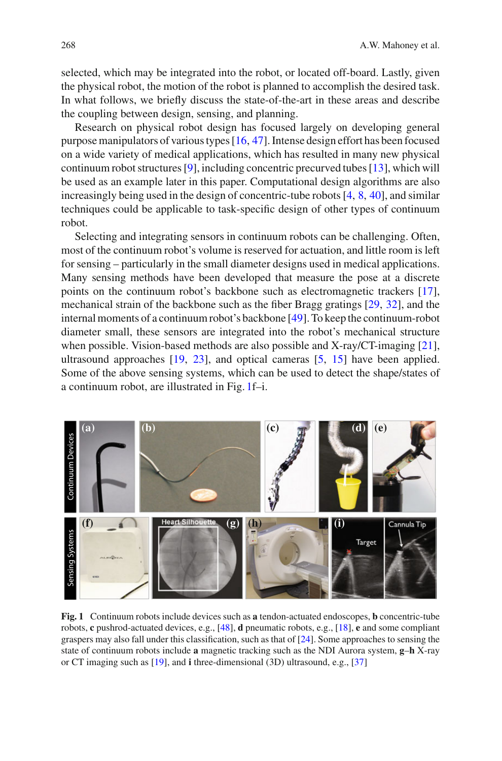selected, which may be integrated into the robot, or located off-board. Lastly, given the physical robot, the motion of the robot is planned to accomplish the desired task. In what follows, we briefly discuss the state-of-the-art in these areas and describe the coupling between design, sensing, and planning.

Research on physical robot design has focused largely on developing general purpose manipulators of various types [16, 47]. Intense design effort has been focused on a wide variety of medical applications, which has resulted in many new physical continuum robot structures [9], including concentric precurved tubes [13], which will be used as an example later in this paper. Computational design algorithms are also increasingly being used in the design of concentric-tube robots [4, 8, 40], and similar techniques could be applicable to task-specific design of other types of continuum robot.

Selecting and integrating sensors in continuum robots can be challenging. Often, most of the continuum robot's volume is reserved for actuation, and little room is left for sensing – particularly in the small diameter designs used in medical applications. Many sensing methods have been developed that measure the pose at a discrete points on the continuum robot's backbone such as electromagnetic trackers [17], mechanical strain of the backbone such as the fiber Bragg gratings [29, 32], and the internal moments of a continuum robot's backbone [49]. To keep the continuum-robot diameter small, these sensors are integrated into the robot's mechanical structure when possible. Vision-based methods are also possible and X-ray/CT-imaging [21], ultrasound approaches [19, 23], and optical cameras [5, 15] have been applied. Some of the above sensing systems, which can be used to detect the shape/states of a continuum robot, are illustrated in Fig. 1f–i.



**Fig. 1** Continuum robots include devices such as **a** tendon-actuated endoscopes, **b** concentric-tube robots, **c** pushrod-actuated devices, e.g., [48], **d** pneumatic robots, e.g., [18], **e** and some compliant graspers may also fall under this classification, such as that of [24]. Some approaches to sensing the state of continuum robots include **a** magnetic tracking such as the NDI Aurora system, **g**–**h** X-ray or CT imaging such as [19], and **i** three-dimensional (3D) ultrasound, e.g., [37]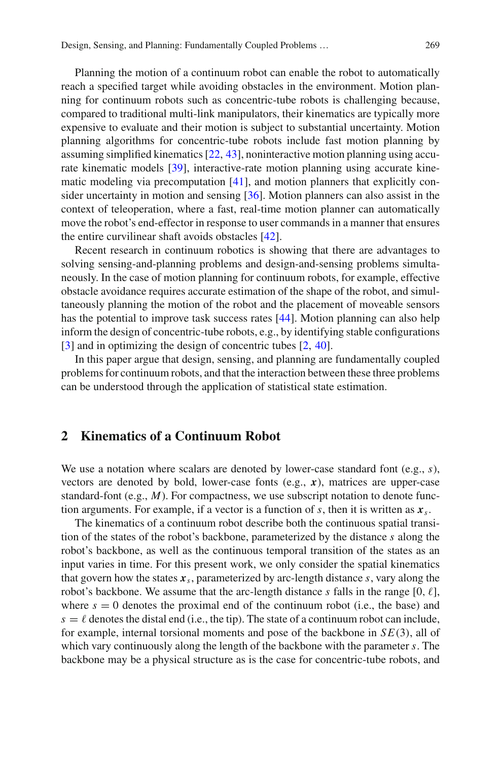Planning the motion of a continuum robot can enable the robot to automatically reach a specified target while avoiding obstacles in the environment. Motion planning for continuum robots such as concentric-tube robots is challenging because, compared to traditional multi-link manipulators, their kinematics are typically more expensive to evaluate and their motion is subject to substantial uncertainty. Motion planning algorithms for concentric-tube robots include fast motion planning by assuming simplified kinematics [22, 43], noninteractive motion planning using accurate kinematic models [39], interactive-rate motion planning using accurate kinematic modeling via precomputation [41], and motion planners that explicitly consider uncertainty in motion and sensing [36]. Motion planners can also assist in the context of teleoperation, where a fast, real-time motion planner can automatically move the robot's end-effector in response to user commands in a manner that ensures the entire curvilinear shaft avoids obstacles [42].

Recent research in continuum robotics is showing that there are advantages to solving sensing-and-planning problems and design-and-sensing problems simultaneously. In the case of motion planning for continuum robots, for example, effective obstacle avoidance requires accurate estimation of the shape of the robot, and simultaneously planning the motion of the robot and the placement of moveable sensors has the potential to improve task success rates [44]. Motion planning can also help inform the design of concentric-tube robots, e.g., by identifying stable configurations [3] and in optimizing the design of concentric tubes [2, 40].

In this paper argue that design, sensing, and planning are fundamentally coupled problems for continuum robots, and that the interaction between these three problems can be understood through the application of statistical state estimation.

### **2 Kinematics of a Continuum Robot**

We use a notation where scalars are denoted by lower-case standard font (e.g., *s*), vectors are denoted by bold, lower-case fonts (e.g., *x*), matrices are upper-case standard-font (e.g.,  $M$ ). For compactness, we use subscript notation to denote function arguments. For example, if a vector is a function of *s*, then it is written as *xs*.

The kinematics of a continuum robot describe both the continuous spatial transition of the states of the robot's backbone, parameterized by the distance *s* along the robot's backbone, as well as the continuous temporal transition of the states as an input varies in time. For this present work, we only consider the spatial kinematics that govern how the states  $x_s$ , parameterized by arc-length distance  $s$ , vary along the robot's backbone. We assume that the arc-length distance  $s$  falls in the range  $[0, \ell]$ , where  $s = 0$  denotes the proximal end of the continuum robot (i.e., the base) and  $s = \ell$  denotes the distal end (i.e., the tip). The state of a continuum robot can include, for example, internal torsional moments and pose of the backbone in *SE*(3), all of which vary continuously along the length of the backbone with the parameter *s*. The backbone may be a physical structure as is the case for concentric-tube robots, and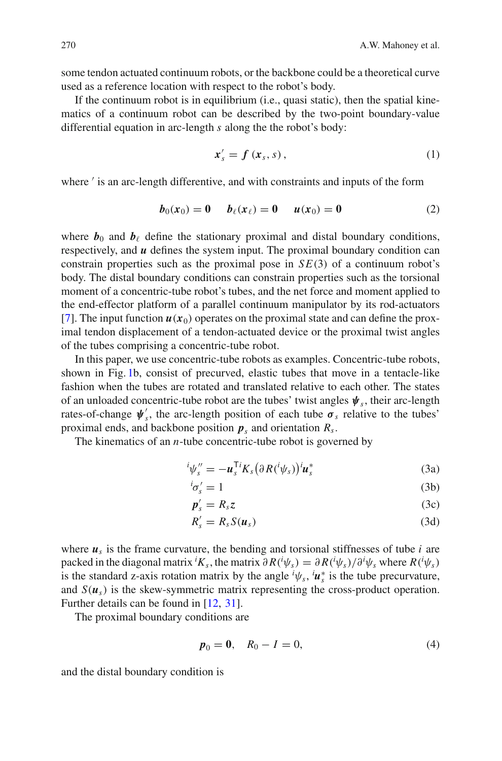some tendon actuated continuum robots, or the backbone could be a theoretical curve used as a reference location with respect to the robot's body.

If the continuum robot is in equilibrium (i.e., quasi static), then the spatial kinematics of a continuum robot can be described by the two-point boundary-value differential equation in arc-length *s* along the the robot's body:

$$
x'_{s} = f(x_{s}, s), \qquad (1)
$$

where  $\prime$  is an arc-length differentive, and with constraints and inputs of the form

$$
b_0(x_0) = 0 \t b_{\ell}(x_{\ell}) = 0 \t u(x_0) = 0 \t (2)
$$

where  $\mathbf{b}_0$  and  $\mathbf{b}_\ell$  define the stationary proximal and distal boundary conditions, respectively, and *u* defines the system input. The proximal boundary condition can constrain properties such as the proximal pose in *SE*(3) of a continuum robot's body. The distal boundary conditions can constrain properties such as the torsional moment of a concentric-tube robot's tubes, and the net force and moment applied to the end-effector platform of a parallel continuum manipulator by its rod-actuators [7]. The input function  $u(x_0)$  operates on the proximal state and can define the proximal tendon displacement of a tendon-actuated device or the proximal twist angles of the tubes comprising a concentric-tube robot.

In this paper, we use concentric-tube robots as examples. Concentric-tube robots, shown in Fig. 1b, consist of precurved, elastic tubes that move in a tentacle-like fashion when the tubes are rotated and translated relative to each other. The states of an unloaded concentric-tube robot are the tubes' twist angles *ψs*, their arc-length rates-of-change  $\psi_s'$ , the arc-length position of each tube  $\sigma_s$  relative to the tubes' proximal ends, and backbone position  $p_s$  and orientation  $R_s$ .

The kinematics of an *n*-tube concentric-tube robot is governed by

$$
{}^{i}\psi_{s}'' = -\boldsymbol{u}_{s}^{\mathsf{T}i}K_{s}\big(\partial R({}^{i}\psi_{s})\big)^{i}\boldsymbol{u}_{s}^{*}
$$
\n(3a)

$$
{}^{i}\sigma'_{s} = 1 \tag{3b}
$$

$$
p'_{s} = R_{s}z \tag{3c}
$$

$$
R'_{s} = R_{s} S(u_{s}) \tag{3d}
$$

where  $u_s$  is the frame curvature, the bending and torsional stiffnesses of tube *i* are packed in the diagonal matrix <sup>*i*</sup>K<sub>s</sub>, the matrix  $\partial R(\psi_s) = \partial R(\psi_s)/\partial^i \psi_s$  where  $R(\psi_s)$ is the standard z-axis rotation matrix by the angle  ${}^{i}\psi_{s}$ ,  ${}^{i}\mathbf{u}_{s}^{*}$  is the tube precurvature, and  $S(u_s)$  is the skew-symmetric matrix representing the cross-product operation. Further details can be found in [12, 31].

The proximal boundary conditions are

$$
\boldsymbol{p}_0 = \mathbf{0}, \quad R_0 - I = 0,\tag{4}
$$

and the distal boundary condition is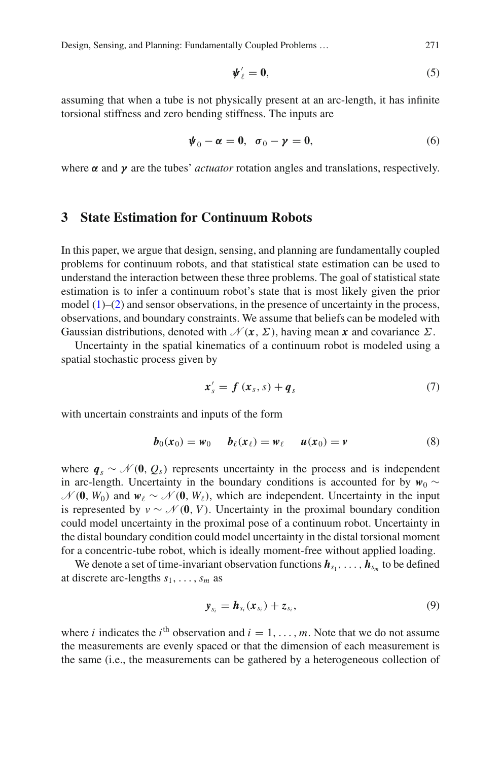Design, Sensing, and Planning: Fundamentally Coupled Problems … 271

$$
\mathbf{\psi}'_{\ell} = \mathbf{0},\tag{5}
$$

assuming that when a tube is not physically present at an arc-length, it has infinite torsional stiffness and zero bending stiffness. The inputs are

$$
\psi_0 - \alpha = 0, \quad \sigma_0 - \gamma = 0, \tag{6}
$$

where  $\alpha$  and  $\gamma$  are the tubes' *actuator* rotation angles and translations, respectively.

### **3 State Estimation for Continuum Robots**

In this paper, we argue that design, sensing, and planning are fundamentally coupled problems for continuum robots, and that statistical state estimation can be used to understand the interaction between these three problems. The goal of statistical state estimation is to infer a continuum robot's state that is most likely given the prior model  $(1)$ – $(2)$  and sensor observations, in the presence of uncertainty in the process, observations, and boundary constraints. We assume that beliefs can be modeled with Gaussian distributions, denoted with  $\mathcal{N}(x, \Sigma)$ , having mean *x* and covariance  $\Sigma$ .

Uncertainty in the spatial kinematics of a continuum robot is modeled using a spatial stochastic process given by

$$
x'_{s} = f(x_{s}, s) + q_{s} \tag{7}
$$

with uncertain constraints and inputs of the form

$$
b_0(x_0) = w_0 \t b_{\ell}(x_{\ell}) = w_{\ell} \t u(x_0) = v \t (8)
$$

where  $q_s \sim \mathcal{N}(0, Q_s)$  represents uncertainty in the process and is independent in arc-length. Uncertainty in the boundary conditions is accounted for by  $w_0 \sim$  $N(\mathbf{0}, W_0)$  and  $w_\ell \sim N(\mathbf{0}, W_\ell)$ , which are independent. Uncertainty in the input is represented by  $v \sim \mathcal{N}(0, V)$ . Uncertainty in the proximal boundary condition could model uncertainty in the proximal pose of a continuum robot. Uncertainty in the distal boundary condition could model uncertainty in the distal torsional moment for a concentric-tube robot, which is ideally moment-free without applied loading.

We denote a set of time-invariant observation functions  $h_{s_1}, \ldots, h_{s_m}$  to be defined at discrete arc-lengths *s*1,...,*sm* as

$$
\mathbf{y}_{s_i} = \boldsymbol{h}_{s_i}(x_{s_i}) + z_{s_i},\tag{9}
$$

where *i* indicates the *i*<sup>th</sup> observation and  $i = 1, \ldots, m$ . Note that we do not assume the measurements are evenly spaced or that the dimension of each measurement is the same (i.e., the measurements can be gathered by a heterogeneous collection of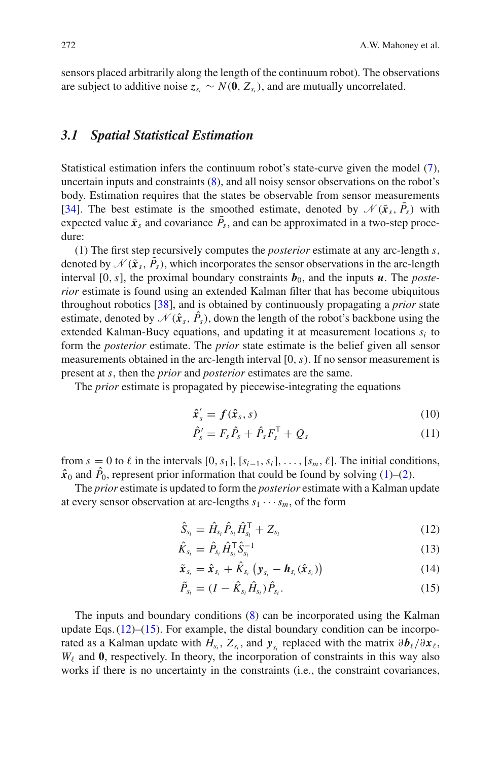sensors placed arbitrarily along the length of the continuum robot). The observations are subject to additive noise  $z_{s_i} \sim N(0, Z_{s_i})$ , and are mutually uncorrelated.

### *3.1 Spatial Statistical Estimation*

Statistical estimation infers the continuum robot's state-curve given the model (7), uncertain inputs and constraints (8), and all noisy sensor observations on the robot's body. Estimation requires that the states be observable from sensor measurements [34]. The best estimate is the smoothed estimate, denoted by  $\mathcal{N}(\bar{x}_s, P_s)$  with expected value  $\bar{x}_s$  and covariance  $P_s$ , and can be approximated in a two-step procedure:

(1) The first step recursively computes the *posterior* estimate at any arc-length *s*, denoted by  $\mathcal{N}(\tilde{\mathbf{x}}_s, P_s)$ , which incorporates the sensor observations in the arc-length interval [0,  $s$ ], the proximal boundary constraints  $\mathbf{b}_0$ , and the inputs  $\mathbf{u}$ . The *posterior* estimate is found using an extended Kalman filter that has become ubiquitous throughout robotics [38], and is obtained by continuously propagating a *prior* state estimate, denoted by  $\mathcal{N}(\hat{\mathbf{x}}_s, P_s)$ , down the length of the robot's backbone using the extended Kalman-Bucy equations, and updating it at measurement locations  $s_i$  to form the *posterior* estimate. The *prior* state estimate is the belief given all sensor measurements obtained in the arc-length interval [0,*s*). If no sensor measurement is present at *s*, then the *prior* and *posterior* estimates are the same.

The *prior* estimate is propagated by piecewise-integrating the equations

$$
\hat{\boldsymbol{x}}'_{s} = \boldsymbol{f}(\hat{\boldsymbol{x}}_{s}, s) \tag{10}
$$

$$
\hat{P}_s' = F_s \hat{P}_s + \hat{P}_s F_s^\mathsf{T} + Q_s \tag{11}
$$

from  $s = 0$  to  $\ell$  in the intervals  $[0, s_1]$ ,  $[s_{i-1}, s_i]$ , ...,  $[s_m, \ell]$ . The initial conditions,  $\hat{\mathbf{x}}_0$  and  $P_0$ , represent prior information that could be found by solving (1)–(2).

The *prior* estimate is updated to form the *posterior* estimate with a Kalman update at every sensor observation at arc-lengths  $s_1 \cdots s_m$ , of the form

$$
\hat{S}_{s_i} = \hat{H}_{s_i} \hat{P}_{s_i} \hat{H}_{s_i}^{\mathsf{T}} + Z_{s_i}
$$
 (12)

$$
\hat{K}_{s_i} = \hat{P}_{s_i} \hat{H}_{s_i}^{\mathsf{T}} \hat{S}_{s_i}^{-1} \tag{13}
$$

$$
\tilde{\boldsymbol{x}}_{s_i} = \hat{\boldsymbol{x}}_{s_i} + \hat{K}_{s_i} \left( \boldsymbol{y}_{s_i} - \boldsymbol{h}_{s_i} (\hat{\boldsymbol{x}}_{s_i}) \right)
$$
(14)

$$
\tilde{P}_{s_i} = (I - \hat{K}_{s_i} \hat{H}_{s_i}) \hat{P}_{s_i}.
$$
\n(15)

The inputs and boundary conditions (8) can be incorporated using the Kalman update Eqs.  $(12)$ – $(15)$ . For example, the distal boundary condition can be incorporated as a Kalman update with  $H_{s_i}$ ,  $Z_{s_i}$ , and  $y_{s_i}$  replaced with the matrix  $\partial b_\ell / \partial x_\ell$ ,  $W_{\ell}$  and  $\mathbf{0}$ , respectively. In theory, the incorporation of constraints in this way also works if there is no uncertainty in the constraints (i.e., the constraint covariances,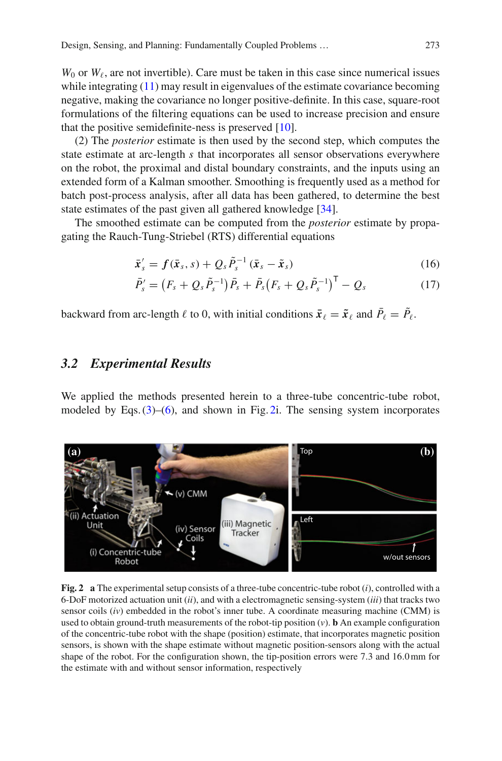$W_0$  or  $W_\ell$ , are not invertible). Care must be taken in this case since numerical issues while integrating (11) may result in eigenvalues of the estimate covariance becoming negative, making the covariance no longer positive-definite. In this case, square-root formulations of the filtering equations can be used to increase precision and ensure that the positive semidefinite-ness is preserved  $[10]$ .

(2) The *posterior* estimate is then used by the second step, which computes the state estimate at arc-length *s* that incorporates all sensor observations everywhere on the robot, the proximal and distal boundary constraints, and the inputs using an extended form of a Kalman smoother. Smoothing is frequently used as a method for batch post-process analysis, after all data has been gathered, to determine the best state estimates of the past given all gathered knowledge [34].

The smoothed estimate can be computed from the *posterior* estimate by propagating the Rauch-Tung-Striebel (RTS) differential equations

$$
\bar{\boldsymbol{x}}'_{s} = \boldsymbol{f}(\bar{\boldsymbol{x}}_{s}, s) + \boldsymbol{Q}_{s} \tilde{\boldsymbol{P}}_{s}^{-1} (\bar{\boldsymbol{x}}_{s} - \tilde{\boldsymbol{x}}_{s})
$$
\n(16)

$$
\bar{P}'_s = (F_s + Q_s \tilde{P}_s^{-1}) \bar{P}_s + \bar{P}_s (F_s + Q_s \tilde{P}_s^{-1})^{\mathsf{T}} - Q_s \tag{17}
$$

backward from arc-length  $\ell$  to 0, with initial conditions  $\bar{x}_\ell = \tilde{x}_\ell$  and  $P_\ell = P_\ell$ .

### *3.2 Experimental Results*

We applied the methods presented herein to a three-tube concentric-tube robot, modeled by Eqs.  $(3)$ – $(6)$ , and shown in Fig. 2i. The sensing system incorporates



**Fig. 2 a** The experimental setup consists of a three-tube concentric-tube robot (*i*), controlled with a 6-DoF motorized actuation unit (*ii*), and with a electromagnetic sensing-system (*iii*) that tracks two sensor coils (*iv*) embedded in the robot's inner tube. A coordinate measuring machine (CMM) is used to obtain ground-truth measurements of the robot-tip position  $(v)$ . **b** An example configuration of the concentric-tube robot with the shape (position) estimate, that incorporates magnetic position sensors, is shown with the shape estimate without magnetic position-sensors along with the actual shape of the robot. For the configuration shown, the tip-position errors were 7.3 and 16.0 mm for the estimate with and without sensor information, respectively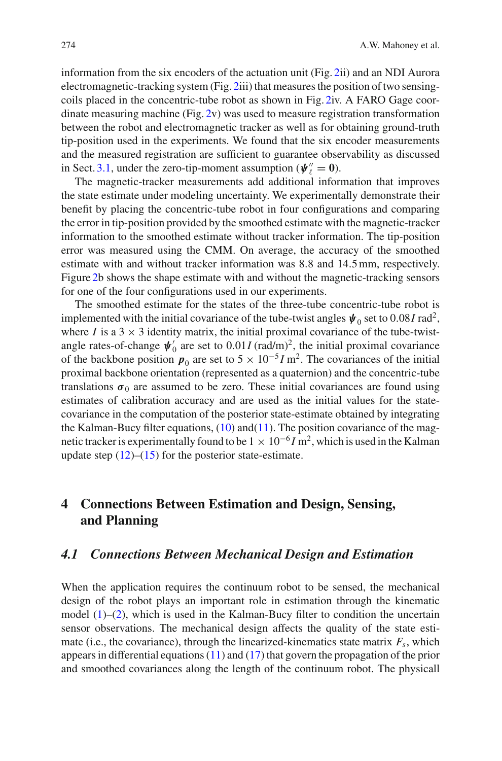information from the six encoders of the actuation unit (Fig. 2ii) and an NDI Aurora electromagnetic-tracking system (Fig. 2iii) that measures the position of two sensingcoils placed in the concentric-tube robot as shown in Fig. 2iv. A FARO Gage coordinate measuring machine (Fig. 2v) was used to measure registration transformation between the robot and electromagnetic tracker as well as for obtaining ground-truth tip-position used in the experiments. We found that the six encoder measurements and the measured registration are sufficient to guarantee observability as discussed in Sect. 3.1, under the zero-tip-moment assumption ( $\psi_{\ell}^{\prime\prime} = 0$ ).

The magnetic-tracker measurements add additional information that improves the state estimate under modeling uncertainty. We experimentally demonstrate their benefit by placing the concentric-tube robot in four configurations and comparing the error in tip-position provided by the smoothed estimate with the magnetic-tracker information to the smoothed estimate without tracker information. The tip-position error was measured using the CMM. On average, the accuracy of the smoothed estimate with and without tracker information was 8.8 and 14.5 mm, respectively. Figure 2b shows the shape estimate with and without the magnetic-tracking sensors for one of the four configurations used in our experiments.

The smoothed estimate for the states of the three-tube concentric-tube robot is implemented with the initial covariance of the tube-twist angles  $\psi_0$  set to 0.08*I* rad<sup>2</sup>, where *I* is a  $3 \times 3$  identity matrix, the initial proximal covariance of the tube-twistangle rates-of-change  $\psi_0$  are set to  $0.01I$  (rad/m)<sup>2</sup>, the initial proximal covariance of the backbone position  $p_0$  are set to  $5 \times 10^{-5} I$  m<sup>2</sup>. The covariances of the initial proximal backbone orientation (represented as a quaternion) and the concentric-tube translations  $\sigma_0$  are assumed to be zero. These initial covariances are found using estimates of calibration accuracy and are used as the initial values for the statecovariance in the computation of the posterior state-estimate obtained by integrating the Kalman-Bucy filter equations,  $(10)$  and $(11)$ . The position covariance of the magnetic tracker is experimentally found to be  $1 \times 10^{-6}$  *I* m<sup>2</sup>, which is used in the Kalman update step  $(12)$ – $(15)$  for the posterior state-estimate.

### **4 Connections Between Estimation and Design, Sensing, and Planning**

### *4.1 Connections Between Mechanical Design and Estimation*

When the application requires the continuum robot to be sensed, the mechanical design of the robot plays an important role in estimation through the kinematic model  $(1)$ – $(2)$ , which is used in the Kalman-Bucy filter to condition the uncertain sensor observations. The mechanical design affects the quality of the state estimate (i.e., the covariance), through the linearized-kinematics state matrix  $F_s$ , which appears in differential equations (11) and (17) that govern the propagation of the prior and smoothed covariances along the length of the continuum robot. The physicall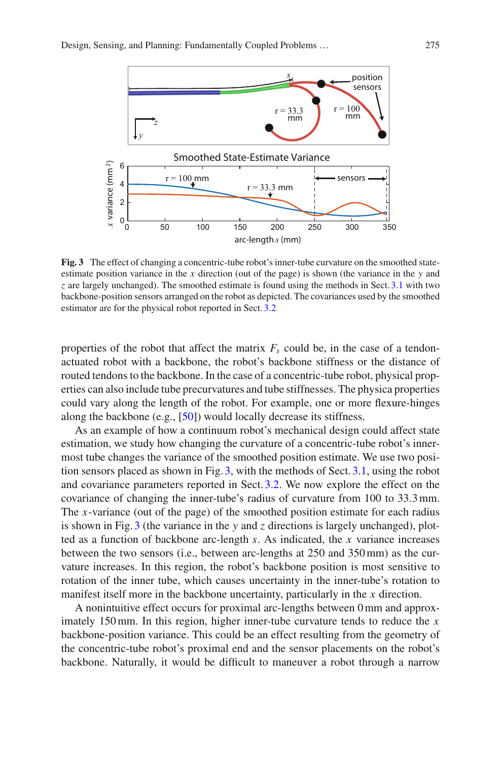

**Fig. 3** The effect of changing a concentric-tube robot's inner-tube curvature on the smoothed stateestimate position variance in the *x* direction (out of the page) is shown (the variance in the *y* and *z* are largely unchanged). The smoothed estimate is found using the methods in Sect. 3.1 with two backbone-position sensors arranged on the robot as depicted. The covariances used by the smoothed estimator are for the physical robot reported in Sect. 3.2

properties of the robot that affect the matrix  $F_s$  could be, in the case of a tendonactuated robot with a backbone, the robot's backbone stiffness or the distance of routed tendons to the backbone. In the case of a concentric-tube robot, physical properties can also include tube precurvatures and tube stiffnesses. The physica properties could vary along the length of the robot. For example, one or more flexure-hinges along the backbone (e.g., [50]) would locally decrease its stiffness.

As an example of how a continuum robot's mechanical design could affect state estimation, we study how changing the curvature of a concentric-tube robot's innermost tube changes the variance of the smoothed position estimate. We use two position sensors placed as shown in Fig. 3, with the methods of Sect. 3.1, using the robot and covariance parameters reported in Sect. 3.2. We now explore the effect on the covariance of changing the inner-tube's radius of curvature from 100 to 33.3 mm. The *x*-variance (out of the page) of the smoothed position estimate for each radius is shown in Fig. 3 (the variance in the *y* and *z* directions is largely unchanged), plotted as a function of backbone arc-length *s*. As indicated, the *x* variance increases between the two sensors (i.e., between arc-lengths at 250 and 350 mm) as the curvature increases. In this region, the robot's backbone position is most sensitive to rotation of the inner tube, which causes uncertainty in the inner-tube's rotation to manifest itself more in the backbone uncertainty, particularly in the *x* direction.

A nonintuitive effect occurs for proximal arc-lengths between 0 mm and approximately 150 mm. In this region, higher inner-tube curvature tends to reduce the *x* backbone-position variance. This could be an effect resulting from the geometry of the concentric-tube robot's proximal end and the sensor placements on the robot's backbone. Naturally, it would be difficult to maneuver a robot through a narrow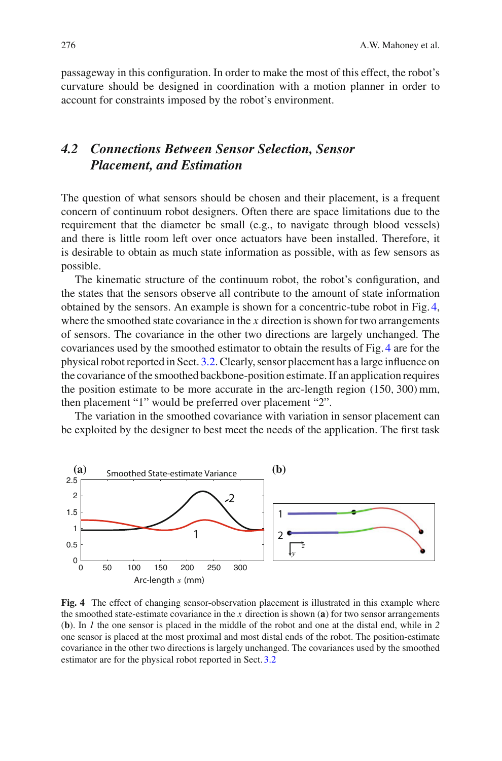passageway in this configuration. In order to make the most of this effect, the robot's curvature should be designed in coordination with a motion planner in order to account for constraints imposed by the robot's environment.

### *4.2 Connections Between Sensor Selection, Sensor Placement, and Estimation*

The question of what sensors should be chosen and their placement, is a frequent concern of continuum robot designers. Often there are space limitations due to the requirement that the diameter be small (e.g., to navigate through blood vessels) and there is little room left over once actuators have been installed. Therefore, it is desirable to obtain as much state information as possible, with as few sensors as possible.

The kinematic structure of the continuum robot, the robot's configuration, and the states that the sensors observe all contribute to the amount of state information obtained by the sensors. An example is shown for a concentric-tube robot in Fig. 4, where the smoothed state covariance in the *x* direction is shown for two arrangements of sensors. The covariance in the other two directions are largely unchanged. The covariances used by the smoothed estimator to obtain the results of Fig. 4 are for the physical robot reported in Sect. 3.2. Clearly, sensor placement has a large influence on the covariance of the smoothed backbone-position estimate. If an application requires the position estimate to be more accurate in the arc-length region  $(150, 300)$  mm, then placement "1" would be preferred over placement "2".

The variation in the smoothed covariance with variation in sensor placement can be exploited by the designer to best meet the needs of the application. The first task



**Fig. 4** The effect of changing sensor-observation placement is illustrated in this example where the smoothed state-estimate covariance in the *x* direction is shown (**a**) for two sensor arrangements (**b**). In *1* the one sensor is placed in the middle of the robot and one at the distal end, while in *2* one sensor is placed at the most proximal and most distal ends of the robot. The position-estimate covariance in the other two directions is largely unchanged. The covariances used by the smoothed estimator are for the physical robot reported in Sect. 3.2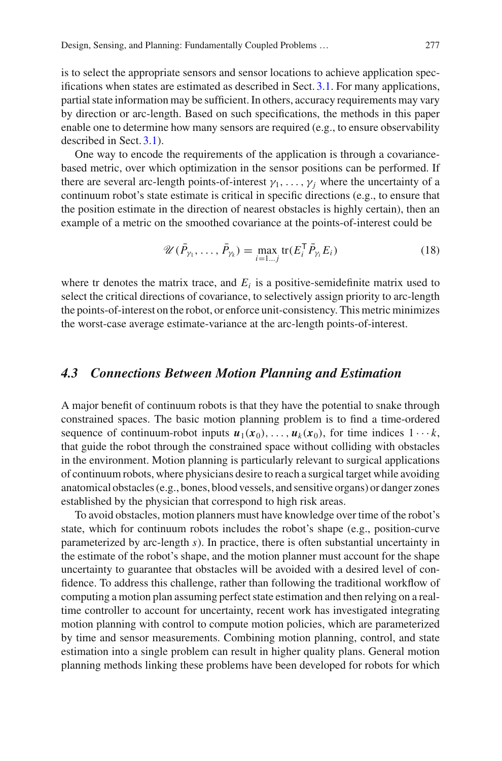is to select the appropriate sensors and sensor locations to achieve application specifications when states are estimated as described in Sect. 3.1. For many applications, partial state information may be sufficient. In others, accuracy requirements may vary by direction or arc-length. Based on such specifications, the methods in this paper enable one to determine how many sensors are required (e.g., to ensure observability described in Sect. 3.1).

One way to encode the requirements of the application is through a covariancebased metric, over which optimization in the sensor positions can be performed. If there are several arc-length points-of-interest  $\gamma_1, \ldots, \gamma_j$  where the uncertainty of a continuum robot's state estimate is critical in specific directions (e.g., to ensure that the position estimate in the direction of nearest obstacles is highly certain), then an example of a metric on the smoothed covariance at the points-of-interest could be

$$
\mathscr{U}(\bar{P}_{\gamma_1},\ldots,\bar{P}_{\gamma_k}) = \max_{i=1\ldots j} \text{tr}(E_i^{\mathsf{T}} \bar{P}_{\gamma_i} E_i)
$$
(18)

where tr denotes the matrix trace, and  $E_i$  is a positive-semidefinite matrix used to select the critical directions of covariance, to selectively assign priority to arc-length the points-of-interest on the robot, or enforce unit-consistency. This metric minimizes the worst-case average estimate-variance at the arc-length points-of-interest.

#### *4.3 Connections Between Motion Planning and Estimation*

A major benefit of continuum robots is that they have the potential to snake through constrained spaces. The basic motion planning problem is to find a time-ordered sequence of continuum-robot inputs  $u_1(x_0), \ldots, u_k(x_0)$ , for time indices  $1 \cdots k$ , that guide the robot through the constrained space without colliding with obstacles in the environment. Motion planning is particularly relevant to surgical applications of continuum robots, where physicians desire to reach a surgical target while avoiding anatomical obstacles (e.g., bones, blood vessels, and sensitive organs) or danger zones established by the physician that correspond to high risk areas.

To avoid obstacles, motion planners must have knowledge over time of the robot's state, which for continuum robots includes the robot's shape (e.g., position-curve parameterized by arc-length *s*). In practice, there is often substantial uncertainty in the estimate of the robot's shape, and the motion planner must account for the shape uncertainty to guarantee that obstacles will be avoided with a desired level of confidence. To address this challenge, rather than following the traditional workflow of computing a motion plan assuming perfect state estimation and then relying on a realtime controller to account for uncertainty, recent work has investigated integrating motion planning with control to compute motion policies, which are parameterized by time and sensor measurements. Combining motion planning, control, and state estimation into a single problem can result in higher quality plans. General motion planning methods linking these problems have been developed for robots for which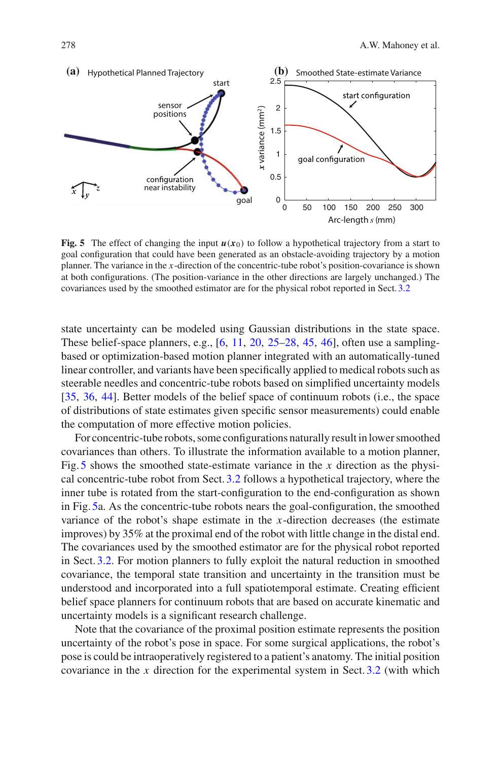

**Fig. 5** The effect of changing the input  $u(x_0)$  to follow a hypothetical trajectory from a start to goal configuration that could have been generated as an obstacle-avoiding trajectory by a motion planner. The variance in the *x*-direction of the concentric-tube robot's position-covariance is shown at both configurations. (The position-variance in the other directions are largely unchanged.) The covariances used by the smoothed estimator are for the physical robot reported in Sect. 3.2

state uncertainty can be modeled using Gaussian distributions in the state space. These belief-space planners, e.g., [6, 11, 20, 25–28, 45, 46], often use a samplingbased or optimization-based motion planner integrated with an automatically-tuned linear controller, and variants have been specifically applied to medical robots such as steerable needles and concentric-tube robots based on simplified uncertainty models [35, 36, 44]. Better models of the belief space of continuum robots (i.e., the space of distributions of state estimates given specific sensor measurements) could enable the computation of more effective motion policies.

For concentric-tube robots, some configurations naturally result in lower smoothed covariances than others. To illustrate the information available to a motion planner, Fig. 5 shows the smoothed state-estimate variance in the *x* direction as the physical concentric-tube robot from Sect. 3.2 follows a hypothetical trajectory, where the inner tube is rotated from the start-configuration to the end-configuration as shown in Fig. 5a. As the concentric-tube robots nears the goal-configuration, the smoothed variance of the robot's shape estimate in the *x*-direction decreases (the estimate improves) by 35% at the proximal end of the robot with little change in the distal end. The covariances used by the smoothed estimator are for the physical robot reported in Sect. 3.2. For motion planners to fully exploit the natural reduction in smoothed covariance, the temporal state transition and uncertainty in the transition must be understood and incorporated into a full spatiotemporal estimate. Creating efficient belief space planners for continuum robots that are based on accurate kinematic and uncertainty models is a significant research challenge.

Note that the covariance of the proximal position estimate represents the position uncertainty of the robot's pose in space. For some surgical applications, the robot's pose is could be intraoperatively registered to a patient's anatomy. The initial position covariance in the *x* direction for the experimental system in Sect. 3.2 (with which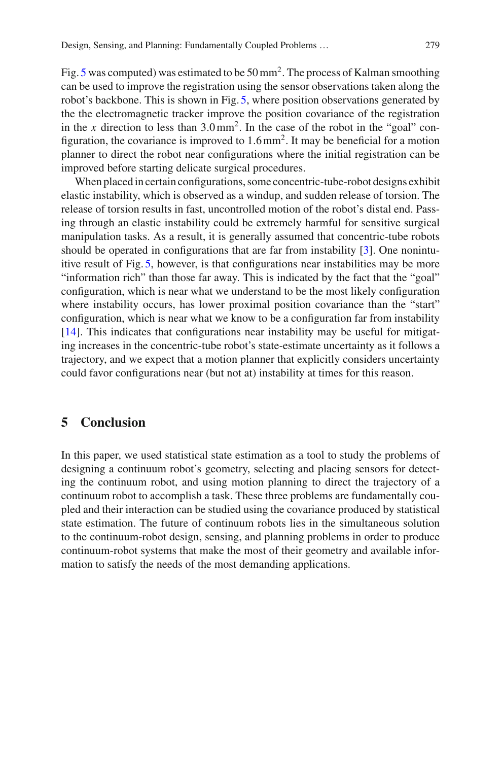Fig. 5 was computed) was estimated to be  $50 \text{ mm}^2$ . The process of Kalman smoothing can be used to improve the registration using the sensor observations taken along the robot's backbone. This is shown in Fig. 5, where position observations generated by the the electromagnetic tracker improve the position covariance of the registration in the *x* direction to less than  $3.0 \text{ mm}^2$ . In the case of the robot in the "goal" configuration, the covariance is improved to  $1.6 \text{ mm}^2$ . It may be beneficial for a motion planner to direct the robot near configurations where the initial registration can be improved before starting delicate surgical procedures.

When placed in certain configurations, some concentric-tube-robot designs exhibit elastic instability, which is observed as a windup, and sudden release of torsion. The release of torsion results in fast, uncontrolled motion of the robot's distal end. Passing through an elastic instability could be extremely harmful for sensitive surgical manipulation tasks. As a result, it is generally assumed that concentric-tube robots should be operated in configurations that are far from instability [3]. One nonintuitive result of Fig. 5, however, is that configurations near instabilities may be more "information rich" than those far away. This is indicated by the fact that the "goal" configuration, which is near what we understand to be the most likely configuration where instability occurs, has lower proximal position covariance than the "start" configuration, which is near what we know to be a configuration far from instability [14]. This indicates that configurations near instability may be useful for mitigating increases in the concentric-tube robot's state-estimate uncertainty as it follows a trajectory, and we expect that a motion planner that explicitly considers uncertainty could favor configurations near (but not at) instability at times for this reason.

#### **5 Conclusion**

In this paper, we used statistical state estimation as a tool to study the problems of designing a continuum robot's geometry, selecting and placing sensors for detecting the continuum robot, and using motion planning to direct the trajectory of a continuum robot to accomplish a task. These three problems are fundamentally coupled and their interaction can be studied using the covariance produced by statistical state estimation. The future of continuum robots lies in the simultaneous solution to the continuum-robot design, sensing, and planning problems in order to produce continuum-robot systems that make the most of their geometry and available information to satisfy the needs of the most demanding applications.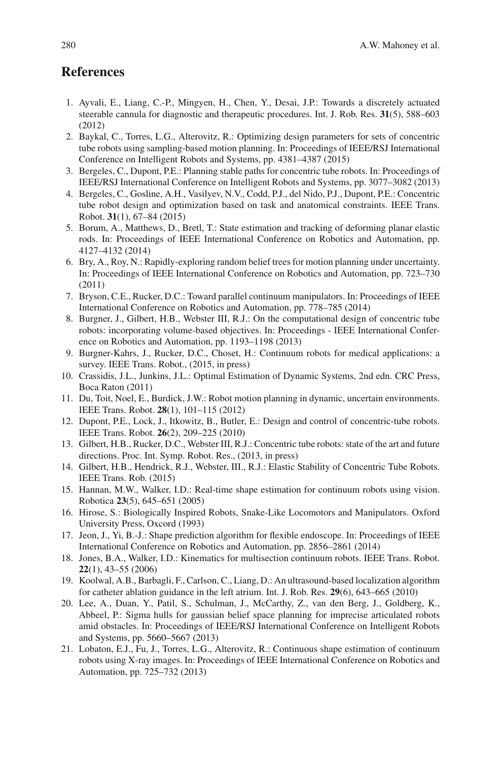## **References**

- 1. Ayvali, E., Liang, C.-P., Mingyen, H., Chen, Y., Desai, J.P.: Towards a discretely actuated steerable cannula for diagnostic and therapeutic procedures. Int. J. Rob. Res. **31**(5), 588–603 (2012)
- 2. Baykal, C., Torres, L.G., Alterovitz, R.: Optimizing design parameters for sets of concentric tube robots using sampling-based motion planning. In: Proceedings of IEEE/RSJ International Conference on Intelligent Robots and Systems, pp. 4381–4387 (2015)
- 3. Bergeles, C., Dupont, P.E.: Planning stable paths for concentric tube robots. In: Proceedings of IEEE/RSJ International Conference on Intelligent Robots and Systems, pp. 3077–3082 (2013)
- 4. Bergeles, C., Gosline, A.H., Vasilyev, N.V., Codd, P.J., del Nido, P.J., Dupont, P.E.: Concentric tube robot design and optimization based on task and anatomical constraints. IEEE Trans. Robot. **31**(1), 67–84 (2015)
- 5. Borum, A., Matthews, D., Bretl, T.: State estimation and tracking of deforming planar elastic rods. In: Proceedings of IEEE International Conference on Robotics and Automation, pp. 4127–4132 (2014)
- 6. Bry, A., Roy, N.: Rapidly-exploring random belief trees for motion planning under uncertainty. In: Proceedings of IEEE International Conference on Robotics and Automation, pp. 723–730 (2011)
- 7. Bryson, C.E., Rucker, D.C.: Toward parallel continuum manipulators. In: Proceedings of IEEE International Conference on Robotics and Automation, pp. 778–785 (2014)
- 8. Burgner, J., Gilbert, H.B., Webster III, R.J.: On the computational design of concentric tube robots: incorporating volume-based objectives. In: Proceedings - IEEE International Conference on Robotics and Automation, pp. 1193–1198 (2013)
- 9. Burgner-Kahrs, J., Rucker, D.C., Choset, H.: Continuum robots for medical applications: a survey. IEEE Trans. Robot., (2015, in press)
- 10. Crassidis, J.L., Junkins, J.L.: Optimal Estimation of Dynamic Systems, 2nd edn. CRC Press, Boca Raton (2011)
- 11. Du, Toit, Noel, E., Burdick, J.W.: Robot motion planning in dynamic, uncertain environments. IEEE Trans. Robot. **28**(1), 101–115 (2012)
- 12. Dupont, P.E., Lock, J., Itkowitz, B., Butler, E.: Design and control of concentric-tube robots. IEEE Trans. Robot. **26**(2), 209–225 (2010)
- 13. Gilbert, H.B., Rucker, D.C., Webster III, R.J.: Concentric tube robots: state of the art and future directions. Proc. Int. Symp. Robot. Res., (2013, in press)
- 14. Gilbert, H.B., Hendrick, R.J., Webster, III., R.J.: Elastic Stability of Concentric Tube Robots. IEEE Trans. Rob. (2015)
- 15. Hannan, M.W., Walker, I.D.: Real-time shape estimation for continuum robots using vision. Robotica **23**(5), 645–651 (2005)
- 16. Hirose, S.: Biologically Inspired Robots, Snake-Like Locomotors and Manipulators. Oxford University Press, Oxcord (1993)
- 17. Jeon, J., Yi, B.-J.: Shape prediction algorithm for flexible endoscope. In: Proceedings of IEEE International Conference on Robotics and Automation, pp. 2856–2861 (2014)
- 18. Jones, B.A., Walker, I.D.: Kinematics for multisection continuum robots. IEEE Trans. Robot. **22**(1), 43–55 (2006)
- 19. Koolwal, A.B., Barbagli, F., Carlson, C., Liang, D.: An ultrasound-based localization algorithm for catheter ablation guidance in the left atrium. Int. J. Rob. Res. **29**(6), 643–665 (2010)
- 20. Lee, A., Duan, Y., Patil, S., Schulman, J., McCarthy, Z., van den Berg, J., Goldberg, K., Abbeel, P.: Sigma hulls for gaussian belief space planning for imprecise articulated robots amid obstacles. In: Proceedings of IEEE/RSJ International Conference on Intelligent Robots and Systems, pp. 5660–5667 (2013)
- 21. Lobaton, E.J., Fu, J., Torres, L.G., Alterovitz, R.: Continuous shape estimation of continuum robots using X-ray images. In: Proceedings of IEEE International Conference on Robotics and Automation, pp. 725–732 (2013)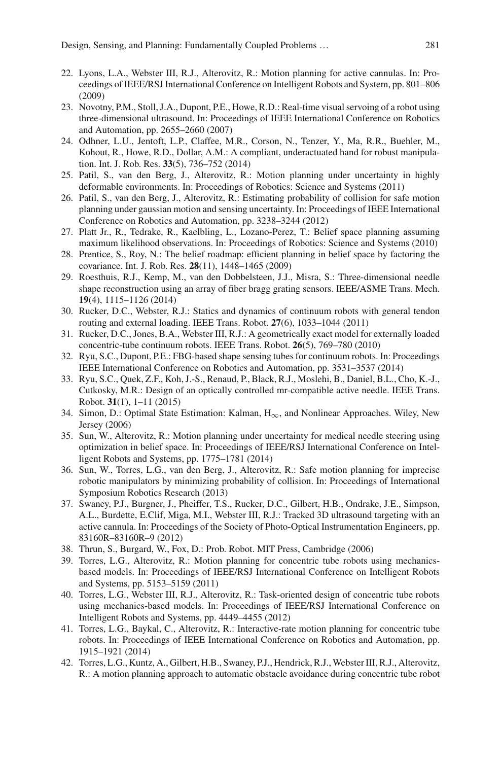- 22. Lyons, L.A., Webster III, R.J., Alterovitz, R.: Motion planning for active cannulas. In: Proceedings of IEEE/RSJ International Conference on Intelligent Robots and System, pp. 801–806 (2009)
- 23. Novotny, P.M., Stoll, J.A., Dupont, P.E., Howe, R.D.: Real-time visual servoing of a robot using three-dimensional ultrasound. In: Proceedings of IEEE International Conference on Robotics and Automation, pp. 2655–2660 (2007)
- 24. Odhner, L.U., Jentoft, L.P., Claffee, M.R., Corson, N., Tenzer, Y., Ma, R.R., Buehler, M., Kohout, R., Howe, R.D., Dollar, A.M.: A compliant, underactuated hand for robust manipulation. Int. J. Rob. Res. **33**(5), 736–752 (2014)
- 25. Patil, S., van den Berg, J., Alterovitz, R.: Motion planning under uncertainty in highly deformable environments. In: Proceedings of Robotics: Science and Systems (2011)
- 26. Patil, S., van den Berg, J., Alterovitz, R.: Estimating probability of collision for safe motion planning under gaussian motion and sensing uncertainty. In: Proceedings of IEEE International Conference on Robotics and Automation, pp. 3238–3244 (2012)
- 27. Platt Jr., R., Tedrake, R., Kaelbling, L., Lozano-Perez, T.: Belief space planning assuming maximum likelihood observations. In: Proceedings of Robotics: Science and Systems (2010)
- 28. Prentice, S., Roy, N.: The belief roadmap: efficient planning in belief space by factoring the covariance. Int. J. Rob. Res. **28**(11), 1448–1465 (2009)
- 29. Roesthuis, R.J., Kemp, M., van den Dobbelsteen, J.J., Misra, S.: Three-dimensional needle shape reconstruction using an array of fiber bragg grating sensors. IEEE/ASME Trans. Mech. **19**(4), 1115–1126 (2014)
- 30. Rucker, D.C., Webster, R.J.: Statics and dynamics of continuum robots with general tendon routing and external loading. IEEE Trans. Robot. **27**(6), 1033–1044 (2011)
- 31. Rucker, D.C., Jones, B.A., Webster III, R.J.: A geometrically exact model for externally loaded concentric-tube continuum robots. IEEE Trans. Robot. **26**(5), 769–780 (2010)
- 32. Ryu, S.C., Dupont, P.E.: FBG-based shape sensing tubes for continuum robots. In: Proceedings IEEE International Conference on Robotics and Automation, pp. 3531–3537 (2014)
- 33. Ryu, S.C., Quek, Z.F., Koh, J.-S., Renaud, P., Black, R.J., Moslehi, B., Daniel, B.L., Cho, K.-J., Cutkosky, M.R.: Design of an optically controlled mr-compatible active needle. IEEE Trans. Robot. **31**(1), 1–11 (2015)
- 34. Simon, D.: Optimal State Estimation: Kalman,  $H_{\infty}$ , and Nonlinear Approaches. Wiley, New Jersey (2006)
- 35. Sun, W., Alterovitz, R.: Motion planning under uncertainty for medical needle steering using optimization in belief space. In: Proceedings of IEEE/RSJ International Conference on Intelligent Robots and Systems, pp. 1775–1781 (2014)
- 36. Sun, W., Torres, L.G., van den Berg, J., Alterovitz, R.: Safe motion planning for imprecise robotic manipulators by minimizing probability of collision. In: Proceedings of International Symposium Robotics Research (2013)
- 37. Swaney, P.J., Burgner, J., Pheiffer, T.S., Rucker, D.C., Gilbert, H.B., Ondrake, J.E., Simpson, A.L., Burdette, E.Clif, Miga, M.I., Webster III, R.J.: Tracked 3D ultrasound targeting with an active cannula. In: Proceedings of the Society of Photo-Optical Instrumentation Engineers, pp. 83160R–83160R–9 (2012)
- 38. Thrun, S., Burgard, W., Fox, D.: Prob. Robot. MIT Press, Cambridge (2006)
- 39. Torres, L.G., Alterovitz, R.: Motion planning for concentric tube robots using mechanicsbased models. In: Proceedings of IEEE/RSJ International Conference on Intelligent Robots and Systems, pp. 5153–5159 (2011)
- 40. Torres, L.G., Webster III, R.J., Alterovitz, R.: Task-oriented design of concentric tube robots using mechanics-based models. In: Proceedings of IEEE/RSJ International Conference on Intelligent Robots and Systems, pp. 4449–4455 (2012)
- 41. Torres, L.G., Baykal, C., Alterovitz, R.: Interactive-rate motion planning for concentric tube robots. In: Proceedings of IEEE International Conference on Robotics and Automation, pp. 1915–1921 (2014)
- 42. Torres, L.G., Kuntz, A., Gilbert, H.B., Swaney, P.J., Hendrick, R.J., Webster III, R.J., Alterovitz, R.: A motion planning approach to automatic obstacle avoidance during concentric tube robot